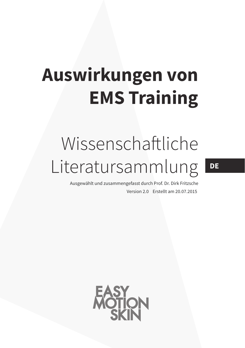# **Auswirkungen von EMS Training**

## Wissenschaftliche Literatursammlung

Version 2.0 Erstellt am 20.07.2015 Ausgewählt und zusammengefasst durch Prof. Dr. Dirk Fritzsche



**DE**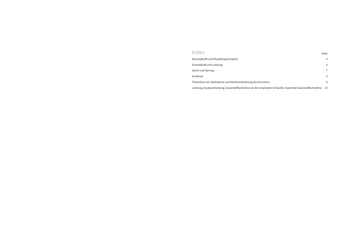## Index

Leistung, Ausdauerleistung; Sauerstoffaufnahme an der a

| II IUUX                                                                                               | Seite          |
|-------------------------------------------------------------------------------------------------------|----------------|
| Maximalkraft und Muskelhypertrophie                                                                   | $\overline{4}$ |
| Schnellkraft und Leistung                                                                             | 6              |
| Sprint und Sprung                                                                                     | 7              |
| Ausdauer                                                                                              | 8              |
| Prävention von Sarkopenie und Demineralisierung des Knochens                                          | 9              |
| Leistung, Ausdauerleistung; Sauerstoffaufnahme an der anaeroben Schwelle; maximale Sauerstoffaufnahme | 10             |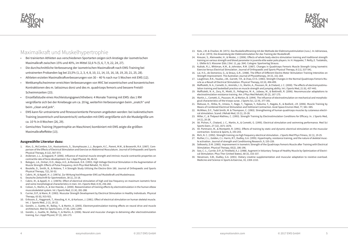



### Maximalkraft und Muskelhypertrophie

- Bei trainierten Athleten aus verschiedenen Sportarten zeigen sich Anstiege der isometrischen Maximalkraft zwischen 15% und 40%, im Mittel 32,6 % (5, 6, 7, 9, 22, 24, 27).
- Die durchschnittliche Verbesserung der isometrischen Maximalkraft nach EMS-Training bei untrainerten Probanden lag bei 23,5% (1, 2, 3, 4, 8, 10, 11, 14, 15, 16, 18, 19, 20, 21, 25, 28).
- Athleten erzielen Maximalkraftverbesserungen von 30 40 % nach nur 5 Wochen mit EMS (12).
- Wettkampfschwimmer erreichten Verbesserungen von MVC bei exzentrischen und konzentrischen Kontraktionen des m. latissimus dorsi und des m. quadriceps femoris und bessere Freistil-Schwimmzeiten (23).
- Einzelfallstudie eines Hochleistungsgewichthebers: 4 Monate Training mit EMS: das 1 RM vergrößerte sich bei der Kniebeuge um ca. 20 kg, weiterhin Verbesserungen beim "snatch" und beim "clean and jerk".
- EMS kann für untrainierte und fitnessorientierte Personen angeboten werden: bei isokinetischem Training (exzentrisch und konzentrisch) verbunden mit EMS vergrößerte sich die Muskelgröße um ca. 10 % in 8 Wochen (26, 29).
- Gemischtes Training (Hypertrophie an Maschinen) kombiniert mit EMS zeigte die größten Maximalkrafteffekte (13).

#### **Ausgewählte Literatur dazu:**

- 1. Alon, G., McCombre, S.A., Koutsantonis, S., Stumphauzer, L.J., Burgwin, K.C., Parent, M.M., & Bosworth, R.A. (1987). Comparison of the Effects of Electrical Stimulation and Exercise on Abdominal Musculature. Journal of Orthopaedic and Sports Physical Therapy, 8 (12), 567-573.
- 2. Andersen, L.L., & Aagaard, P. (2006). Influence of maximal muscle strength and intrinsic muscle contractile properties on contractile rate of force development. Eur J Appl Physiol, 96, 46-52.
- 3. Balogun, J.A., Onilari, O.O., Akeju, A.O., & Marzouk, D.K. (1993). High Voltage Electrical Stimulation in the Augmentation of Muscle Strength: Effects of Pulse Frequency. Arch Phys Med Rehabil, 74, 910-6.
- 4. Boutelle, D., Smith, B., & Malone, T. A Strength Study Utilizing the Electro-Stim 180. Journal of Orthopaedic and Sports Physical Therapy, 7(2), 50-53.
- 5. Cabric, M., & Appell, H. J. (1987a). Zur Wirkung hochfrequenter EMS auf Muskelkraft und Muskelmasse.
- 6. Deutsche Zeitschrift für Sportmedizin, 38 (1), 15-18.
- Cabric, M., & Appell, H. J. (1987b). Effect of electrical stimulation of high and low frequency on maximum isometric force and some morphological characteristics in men. Int J Sports Med, 8 (4), 256-260.
- 8. Colson, S., Martin, A., & Van Hoecke, J. (2000). Reexamination of training effects by electrostimulation in the human elbow musculoskeletal system. Int J Sports Med, 21 (4), 281-288.
- 9. Currier, D.P., & Mann, R. (1983). Muscular Strength Development by Electrical Stimulation in Healthy Individuals. Physical Therapy, 63 (6), 915-921.
- 10. Eriksson, E., Haggmark, T., Kiessling, K. H., & Karlsson, J. (1981). Effect of electrical stimulation on human skeletal muscle. Int. J Sports Med., 2 (1), 18-22.
- 11. Gondin, J., Guette, M., Ballay, Y., & Martin, A. (2005). Electromyostimulation training effects on neural drive and muscle architecture. Med Sci Sports Exerc, 37 (8), 1291-1299.
- 12. Gondin, J., Guette, M., Ballay, Y., & Martin, A. (2006). Neural and muscular changes to detraining after electrostimulation training. Eur J Appl Physiol, 97 (2), 165-173.
- 13. Kots, J.M. & Chwilon, W. (1971). Das Muskelkrafttraining mit der Methode der Elektromyostimulation (russ.). In: Adrianowa, G. et al. (1974). Die Anwendung der Elektrostimulation für das Training der Muskelkraft.
- 14. Kreuzer, S., Kleinoeder, H., & Mester, J. (2006). Effects of whole body electro stimulation training and traditional strength training on various strength and blood parameter in juvenile elite water polo players. In: H. Hoppeler, T. Reilly, E. Tsolakidis, L. Gfeller & S. Klossner (Eds.) (Vol. 11, pp. 264). Cologne: Sportverlag Strauss.
- 15. Kubiak, R.J., Whitman, K.M., & Johnston, R.M. (1987). Changes in Quadriceps Femoris Muscle Strength Using Isometric Exercise Versus Electrical Stimulation. Journal of Orthopaedic and Sports Physical Therapy, 8 (11), 537-541.
- 16. Lai, H.S., de Domenico, G., & Straus, G.R., (1988). The Effect of Different Electro-Motor Stimulation Training Intensities on Strength Improvement. The Australian Journal of Physiotherapy, 34 (3), 151-164.
- 17. Laughman, R.K., Youdas, J.W., Garrett, T.R., & Chao, E.Y.S. (1983). Strength Changes in the Normal Quadriceps Femoris Muscle as a Result of Electrical Stimulation. Physical Therapy, 63 (4), 494-499.
- 18. Maffiuletti, N. A., Cometti, G., Amiridis, I. G., Martin, A., Pousson, M., & Chatard, J. C. (2000). The effects of electromyostimulation training and basketball practice on muscle strength and jumping ability. Int J Sports Med, 21 (6), 437-443.
- 19. Maffiuletti, N. A., Zory, R., Miotti, D., Pellegrino, M. A., Jubeau, M., & Bottinelli, R. (2006). Neuromuscular adaptations to electrostimulation resistance training. Am J Phys Med Rehabil, 85 (2), 167-175.
- 20. Martin, L., Cometti, G., Pousson, M., & Morlon, B. (1994). The influence of electrostimulation on mechanical and morphological characteristics of the triceps surae. J Sports Sci, 12 (4), 377-381.
- 21. Matsuse, H., Shiba, N., Umezu, Y., Nago, T., Tagawa, Y., Kakuma, T., Nagata, K., & Basford, J.R. (2006). Muscle Training by Means of Combined Electrical Stimulation and Volitional Contraction. Aviat Space Environ Med, 77, 581–585.
- 22. McMiken, D.F., Todd-Smith, M. & Thompson, C. (1983). Strengthening of human quadriceps muscles by cutaneous electrical stimulation. Scand J Rehab Med, 15 (1), 25-28.
- 23. Miller, C., & Thépaut-Mathieu, C. (1993). Strength Training by Electrostimulation Conditions for Efficacy. In. J Sports Med, 14 (1), 20-28.
- 24. 58. Pichon, F., Chatard, J. C., Martin, A., & Cometti, G. (1995). Electrical stimulation and swimming performance. Med Sci Sports Exerc, 27 (12), 1671-1676.
- 25. 59. Portmann, M., & Montpetit, R. (1991). Effects of training by static and dynamic electrical stimulation on the muscular contraction. Science & Sports, 6, 193-203.
- 26. Rich, N. C. (1992). Strength training via high frequency electrical stimulation. J Sports Med Phys Fitness, 32 (1), 19-25.
- 27. Ruther, C.L., Golden, C.L. Harris, R.T., Dudley, G.A. (1995). Hypertrophy, resistance training, and the nature of skeletal muscle activation. Journal of strength and Conditioning Research, 9, 155-159.
- 28. Selkowitz, D.M. (1985). Improvement in Isometric Strength of the Quadriceps Femoris Muscle after Training with Electrical Stimulation. Physical Therapy, 65(2), 186-196.
- 29. Soo, C.-L., Currier, D.P., & Threlkeld, A.J. (1988). Augment in Voluntary Torque of Healthy Muscle by Optimization of Electrical Stimulation. Phys Ther (United States), 68 (3), 333-337.
- 30. Stevenson, S.W., Dudley, G.A. (2001). Dietary creatine supplementation and muscular adaptation to resistive overload. Medicine and Science in Sports & Exercise, 33, 1304-1310.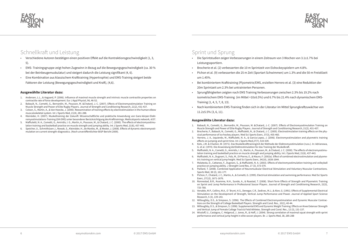



## Schnellkraft und Leistung

- Verschiedene Autoren bestätigen einen positiven Effekt auf die Kontraktionsgeschwindigkeit (1, 3, 5).
- EMS- Trainingsgruppe zeigt hohen Zugewinn in Bezug auf die Bewegungsgeschwindigkeit (ca. 30 % bei der Beinbeugemuskulatur) und steigert dadurch die Leistung signifikant (4, 6).
- Eine Kombination aus klassischem Krafttraining (Hypertrophie) und EMS-Training steigert beide Faktoren der Leistung (Bewegungsgeschwindigkeit und Kraft), (4,6).

#### **Ausgewählte Literatur dazu:**

- 1. Andersen, L.L., & Aagaard, P. (2006). Influence of maximal muscle strength and intrinsic muscle contractile properties on contractile rate of force development. Eur J Appl Physiol, 96, 46-52.
- 2. Babault, N., Cometti, G., Bernardin, M., Pousson, M. &Chatard, J.-C. (2007). Effects of Electromyostimulation Training on Muscle Strength and Power of Elite Rugby Players. Journal of Strength and Conditioning Research, 21(2), 431-437.
- 3. Colson, S., Martin, A., & Van Hoecke, J. (2000). Reexamination of training effects by electrostimulation in the human elbow musculoskeletal system. Int J Sports Med, 21(4), 281-288.
- 4. Kleinöder, H. (2007). Muskeltraining der Zukunft: Wissenschaftliche und praktische Anwendung von Ganz-körper-Elektromyostimulations-Training (GK-EMS) unter besonderer Berücksichtigung des Krafttrainings. Medicalsports network, 4/07.
- 5. Maffiuletti, N. A., Cometti, G., Amiridis, I. G., Martin, A., Pousson, M., & Chatard, J. C. (2000). The effects of electromyostimulation training and basketball practice on muscle strength and jumping ability. Int J Sports Med, 21(6), 437-443.
- 6. Speicher, U., Schmithüsen J., Nowak, S., Kleinöder, H., de Marées, M., & Mester, J. (2008). Effects of dynamic electromyostimulation on current strength-diagnostics. (Noch unveröffentlichter BiSP Bericht 2009).

## Sprint und Sprung

• Pichon et al. (9) verbesserten die 25 m Zeit (Sportart Schwimmen) um 1.3% and die 50 m Freistilzeit

- Die Sprintstudien zeigen Verbesserungen in einem Zeitraum von 3 Wochen von 3.1±1.7% bei Leistungssportlern.
- Brocherie et al. (2) verbesserten die 10 m Sprintzeit von Eishockeyspielern um 4.8%.
- um 1.45%.
- Bei kombiniertem Krafttraining (Plyometrie/EMS, erzielten Herrero et al. (3) eine Reduktion der 20m Sprintzeit um 2.3% bei untrainierten Personen.
- Sprungfähigkeiten zeigten nach EMS Training Verbesserungen zwischen 2.3% bis 19.2% nach Training (1, 4, 5, 7, 8, 13).
- 11.2±5.5% (3, 6, 11).

isometrischem EMS-Training (im Mittel +10±6.5%) und 6.7% bis 21.4% nach dynamischem EMS-

• Nach kombiniertem EMS-Training finden sich in der Literatur im Mittel Sprungkraftzuwächse von

#### **Ausgewählte Literatur dazu:**

1. Babault, N., Cometti, G., Bernardin, M., Pousson, M. &Chatard, J.-C. (2007). Effects of Electromyostimulation Training on

2. Brocherie, F., Babault, N., Cometti, G., Maffiuletti, N., & Chatard, J. C. (2005). Electrostimulation training effects on the phy-

3. Herrero, J. A., Izquierdo, M., Maffiuletti, N. A., & Garcia-Lopez, J. (2006). Electromyostimulation and plyometric training

4. Kots, J.M. & Chwilon, W. (1971). Das Muskelkrafttrainingmit der Methode der Elektromyostimulation (russ.). In: Adrianowa,

Maffiuletti, N. A., Cometti, G., Amiridis, I. G., Martin, A., Pousson, M., & Chatard, J. C. (2000). The effects of electromyostimu-

6. Maffiuletti, N. A., Dugnani, S., Folz, M., Di Pierno, E., & Mauro, F. (2002a). Effect of combined electrostimulation and plyome-

7. Malatesta, D., Cattaneo, F., Dugnani, S., & Maffiuletti, N. A. (2003). Effects of electromyostimulation training and volleyball

- Muscle Strength and Power of Elite Rugby Players. Journal of Strength and Conditioning Research, 21(2), 431-437.
- sical performance of ice hockey players. Med Sci Sports Exerc, 37(3), 455-460.
- effects on jumping and sprint time. Int J Sports Med,27(7), 533-539.
- G. et al. (1974). Die Anwendung derElektrostimulation für das Training der Muskelkraft.
- lation training and basketball practice on muscle strength and jumping ability. Int J Sports Med, 21(6), 437-443.
- tric training on vertical jump height. Med Sci Sports Exerc, 34(10), 1638-1644.
- practice on jumping ability. J Strength Cond Res, 17 (3), 573-579.
- Sports Med, 38 (2), 161-177.
- Exerc, 27(12), 1671-1676.
- 733-780.
- Research, 5 (3), 139-143.
- tions on the Strength of College Basketball Players. Strength and Cond. Res., 10(1), 40-44.
- and Vertical Jump of Female College Track & Field Athletes. Strength and Cond. Res., 12 (3), 131-137.
- performance and vertical jump height in elite soccer players. Br. J. Sports Med, 38, 285-288

8. Paillard, T. (2008). Combined Application of Neuromuskular Electrical Stimulation and Voluntary Muscular Contractions.

9. Pichon, F., Chatard, J. C., Martin, A., & Cometti, G. (1995). Electrical stimulation and swimming performance. Med Sci Sports

10. Ronnestad, B.R., Kvamme, N.H., Sunde, A., & Raastad, T. (2008). Short-Term Effects of Strength and Plyometric Training on Sprint and Jump Performance in Professional Soccer Players. Journal of Strength and Conditioning Research, 22(3),

11. Venable, M.P., Collins, M.A., O´Brynt, H.S., Denegar, C.R., Sedivec, M.J., & Alon, G. (1991). Effects of Supplemental Electrical Stimulation on the Development of Strength, Vertical Jump Performance and Power. Journal of Applied Sport Science

12. Willoughby, D.S., & Simpson, S. (1996). The Effects of Combined Electromyostimulation and Dynamic Muscular Contrac-

13. Willoughby, D.S., & Simpson, S. (1998). Supplemental EMS and Dynamic Weight Training: Effects on Knee Extensor Strength

14. Wissloff, U., Castagna, C. Helgerud, J. Jones, R., & Hoff, J. (2004). Strong correlation of maximal squat strength with sprint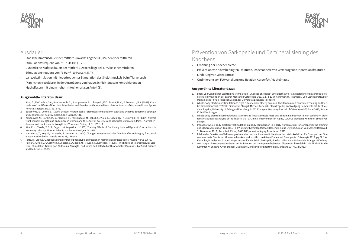



## Ausdauer

- Statische Kraftausdauer: der mittlere Zuwachs liegt bei 30,3 % bei einer mittleren Stimulationsfrequenz von 75 +/- 44 Hz. (1, 2, 3)
- Dynamische Kraftausdauer: der mittlere Zuwachs liegt bei 41 % bei einer mittleren Stimulationsfrequenz von 76 Hz +/- 10 Hz (2, 4, 5, 7).
- Langzeitstimulation mit niederfrequenter Stimulation des Skelettmuskels beim Tierversuch (Kaninchen) resultieren in der Ausprägung von hauptsächlich langsam kontrahierenden Muskelfasern mit einem hohen mitochondrialen Anteil (6).

#### **Ausgewählte Literatur dazu:**

- 1. Alon, G., McCombre, S.A., Koutsantonis, S., Stumphauzer, L.J., Burgwin, K.C., Parent, M.M., & Bosworth, R.A. (1987). Comparison of the Effects of Electrical Stimulation and Exercise on Abdominal Musculature. Journal of Orthopaedic and Sports Physical Therapy, 8(12), 567-573.
- 2. Ballantyne, E., Donne, B. (1999): Effect of neuromuscular electrical stimulation on static and dynamic abdominal strength and endurance in healthy males. Sport Science, 431.
- 3. Kahanovitz, N., Nordin, M., Verderame, R., Parnianpour, M., Yabut, S., Viola, K., Greenidge, N., Mulvihill, M. (1987). Normal trunk muscle strength and endurance in women and the effect of exercises and electrical stimulation. Part 1: Normal endurance and trunk muscle strength in 101 women. Spine, 12 (2): 105-111.
- 4. Kim, C. K., Takala, T. E. S., Seger, J. & Karpakka, J. (1995). Training Effects of Electrically Induced Dynamic Contractions in Human Quadriceps Muscle. Aviat Space Environ Med, 66, 251-255.
- Marqueste, T., Hug, F., Decherchi, P. Jammes, Y. (2003). Changes in neuromuscular function after training by functional electrical stimulation. Muscle Nerve 28, 181-188.
- 6. Pette, D., Vrbova, G. (1985) Neural control of phenotypic expression in mammalian muscle fibres. Muscle Nerve 8, 676.
- 7. Porcari, J., Miller, J., Cornwell, K., Foster, C., Gibson, M., McLean, K., Kernozek, T. (2005). The Effects of Neuromuscular Electrical Stimulation Training on Abdominal Strength, Endurance and Selected Anthropometric Measures. J of Sport Science and Medicine, 4, 66-75.
- 1. Effekt von Ganzkörper-Elektromyo -stimulation "A series of studies" Eine alternative Trainingstechnologie zur muskulos-Medizinische Physik, Friedrich-Alexander Universität Erlangen-Nürnberg
- ID 643520, 7 pages
- Stengel
- 11 December 2012 / Accepted: 29 July 2013 AGE; American Aging Association 2013
- 5. Effekte der Ganzkörper-Elektro -myostimulation auf die Knochendichte eines Hochrisikokollektivs für Osteoporose. Eine
- Kemmler W, Engelke K, von Stengel S Deutsche Zeitschrift für Sportmedizin Jahrgang 63, Nr. 12 (2012)

## Prävention von Sarkopenie und Demineralisierung des Knochens

• Prävention von altersbedingten Frakturen, insbesondere von vertebrogenen Inpressionsfrakturen

- Erhöhung der Knochendichte
- 
- Linderung von Osteoporose
- Optimierung von Fettverteilung und Relation Körperfett/Muskelmasse

#### **Ausgewählte Literatur dazu:**

kelettalen Prävention bei älteren Menschen Osteologie 1/2015, S. 3-17 W. Kemmler; M. Teschler; S. von Stengel Institut für

2. Whole-Body Electromyostimulation to Fight Osteopenia in Elderly Females: The Randomized Controlled Training and Electrostimulation Trial (TEST-III) Simon von Stengel, Michael Bebenek, Klaus Engelke, andWolfgang Kemmler Institute of Medical Physics, University of Erlangen-N¨urnberg, 91052 Erlangen, Germany Journal of Osteoporosis Volume 2015, Article

3. Whole-body electromyostimulation as a means to impact muscle mass and abdominal body fat in lean sedentary, older female adults: subanalysis of the TEST-III trial J. Clinical Interventions in Aging, 10/2013 Wolfgang Kemmler, Simon von

4. Impact of whole-body electromyostimulation on body composition in elderly women at risk for sarcopenia: the Training and ElectroStimulation Trial (TEST-III) Wolfgang Kemmler, Michael Bebenek, Klaus Engelke, Simon von Stengel Received:

randomisierte Studie mit älteren, schlanken und sportlich inaktiven Frauen mit Osteopenie. Osteologie 2013; pg 22 ff W. Kemmler; M. Bebenek; S. von Stengel Institut für Medizinische Physik, Friedrich-Alexander Universität Erlangen-Nürnberg 6. Ganzkörper-Elektromyostimulation zur Prävention der Sarkopenie bei einem älteren Risikokollektiv. Die TEST-III Studie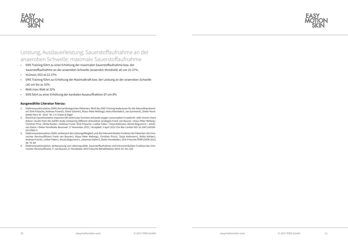



## Leistung, Ausdauerleistung; Sauerstoffaufnahme an der anaeroben Schwelle; maximale Sauerstoffaufnahme

- EMS Training führt zu einer Erhöhung der maximalen Sauerstoffaufnahme bzw. der Sauerstoffaufnahme an der anaeroben Schwelle (anaerobic threshold; at) um 22-37%.
- Vo2max; VO2 at 22-37%
- EMS Training führt zur Erhöhung der Maximalkraft bzw. der Leistung an der anaeroben Schwelle (at) um bis zu 32%.
- Watt max; Watt at 32%
- EMS führt zu einer Erhöhung der kardialen Auswurffraktion EF um 8%

#### **Ausgewählte Literatur hierzu:**

- 1. Elektromyostimulation (EMS) bei kardiologischen Patienten. Wird das EMS-Training bedeutsam für die Sekundärprävention? Dirk Fritzsche, Andreas Fruend1, Sören Schenk1, Klaus-Peter Mellwig2, Heinz Kleinöder3, Jan Gummert1, Dieter Horstkotte2 Herz 35 · 2010 · Nr. 1 © Urban & Vogel
- 2. Electrical myostimulation improves left ventricular function and peak oxygen consumption in patients with chronic heart failure: results from the exEMS study comparing different stimulation strategies Frank van Buuren • Klaus Peter Mellwig • Christian Prinz • Britta Korber • Andreas Frund • Dirk Fritzsche • Lothar Faber • Tanja Kottmann •Nicola Bogunovic • Johannes Dahm • Dieter Horstkotte Received: 17 November 2012 / Accepted: 3 April 2013 Clin Res Cardiol DOI 10.1007/s00392- 013-0562-5
- 3. Elektromyostimulation (EMS) verbessert die Leistungsfähigkeit und die linksventrikuläre Funktion bei Patienten mit chronischer Herzinsuffizienz Frank van Buuren1, Klaus Peter Mellwig1, Christian Prinz1, Tanja Kottmann1, Britta Körber1, Andreas Fründ1, Lothar Faber1, Nicola Bogunovic1, Johannes Dahm3, Dieter Horstkotte1, Dirk Fritzsche PERFUSION 2013; 26: 76–84
- 4. Elektromyostimulation: Verbesserung von Lebensqualität, Sauerstoffaufnahme und linksventrikulärer Funktion bei chronischer Herzinsuffizienz. F. van Buuren, D. Horstkotte, Dirk Fritzsche Rehabilitation 2014; 53: 321-326